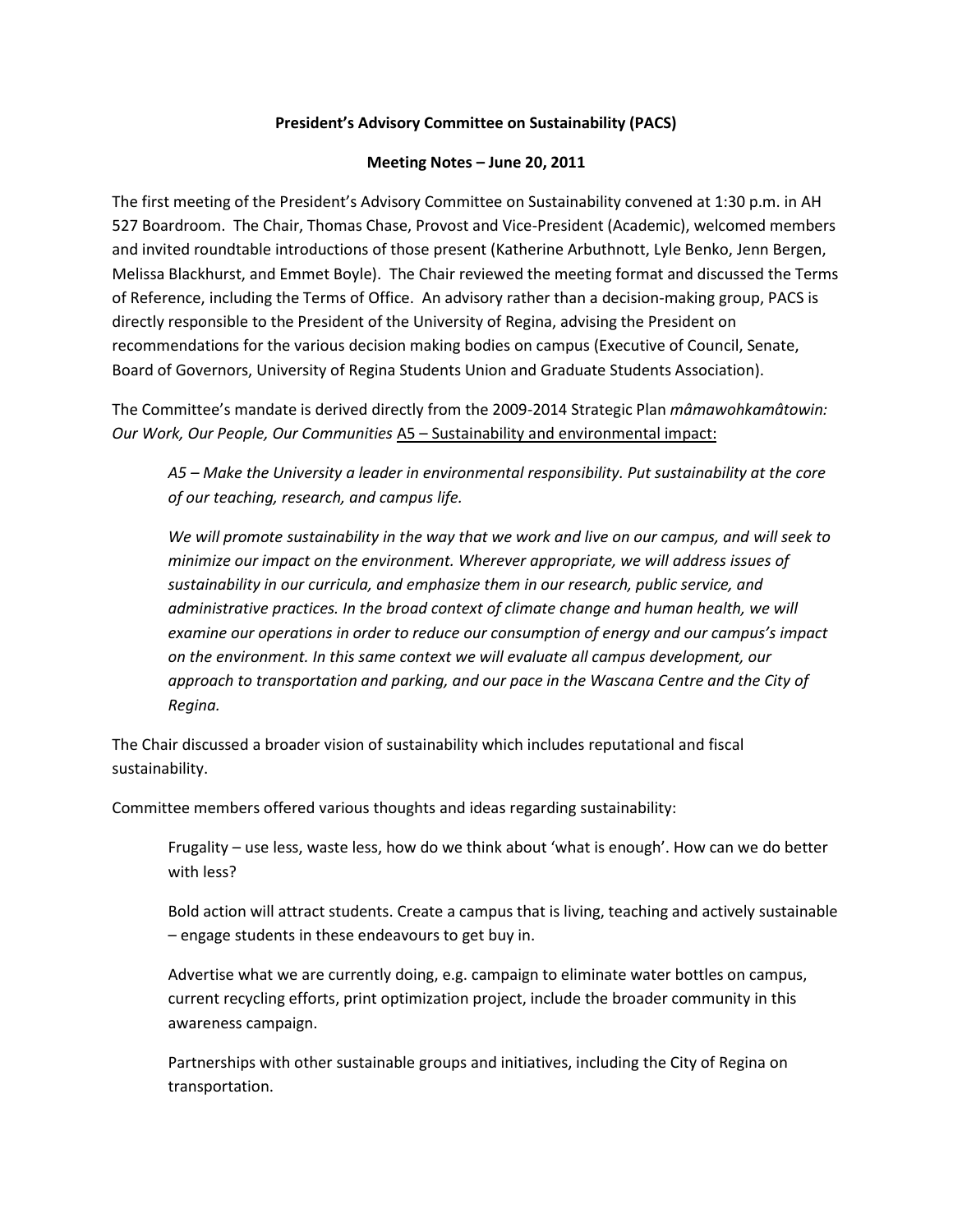## **President's Advisory Committee on Sustainability (PACS)**

## **Meeting Notes – June 20, 2011**

The first meeting of the President's Advisory Committee on Sustainability convened at 1:30 p.m. in AH 527 Boardroom. The Chair, Thomas Chase, Provost and Vice-President (Academic), welcomed members and invited roundtable introductions of those present (Katherine Arbuthnott, Lyle Benko, Jenn Bergen, Melissa Blackhurst, and Emmet Boyle). The Chair reviewed the meeting format and discussed the Terms of Reference, including the Terms of Office. An advisory rather than a decision-making group, PACS is directly responsible to the President of the University of Regina, advising the President on recommendations for the various decision making bodies on campus (Executive of Council, Senate, Board of Governors, University of Regina Students Union and Graduate Students Association).

The Committee's mandate is derived directly from the 2009-2014 Strategic Plan *mâmawohkamâtowin: Our Work, Our People, Our Communities* A5 – Sustainability and environmental impact:

*A5 – Make the University a leader in environmental responsibility. Put sustainability at the core of our teaching, research, and campus life.*

*We will promote sustainability in the way that we work and live on our campus, and will seek to minimize our impact on the environment. Wherever appropriate, we will address issues of sustainability in our curricula, and emphasize them in our research, public service, and*  administrative practices. In the broad context of climate change and human health, we will *examine our operations in order to reduce our consumption of energy and our campus's impact on the environment. In this same context we will evaluate all campus development, our approach to transportation and parking, and our pace in the Wascana Centre and the City of Regina.*

The Chair discussed a broader vision of sustainability which includes reputational and fiscal sustainability.

Committee members offered various thoughts and ideas regarding sustainability:

Frugality – use less, waste less, how do we think about 'what is enough'. How can we do better with less?

Bold action will attract students. Create a campus that is living, teaching and actively sustainable – engage students in these endeavours to get buy in.

Advertise what we are currently doing, e.g. campaign to eliminate water bottles on campus, current recycling efforts, print optimization project, include the broader community in this awareness campaign.

Partnerships with other sustainable groups and initiatives, including the City of Regina on transportation.